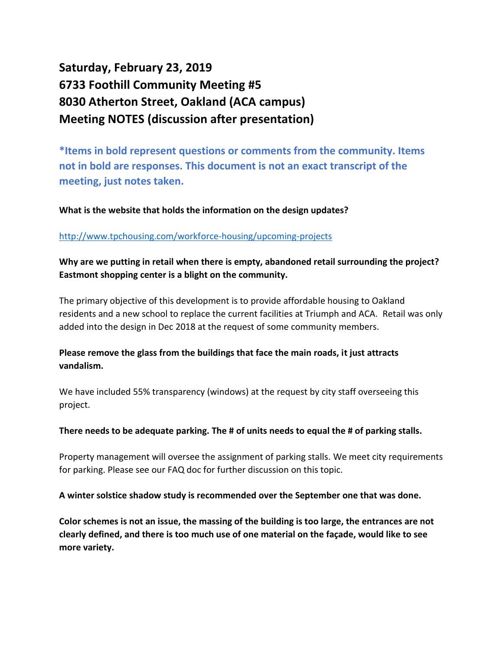# **Saturday, February 23, 2019 6733 Foothill Community Meeting #5 8030 Atherton Street, Oakland (ACA campus) Meeting NOTES (discussion after presentation)**

**\*Items in bold represent questions or comments from the community. Items not in bold are responses. This document is not an exact transcript of the meeting, just notes taken.**

**What is the website that holds the information on the design updates?**

#### <http://www.tpchousing.com/workforce-housing/upcoming-projects>

**Why are we putting in retail when there is empty, abandoned retail surrounding the project? Eastmont shopping center is a blight on the community.**

The primary objective of this development is to provide affordable housing to Oakland residents and a new school to replace the current facilities at Triumph and ACA. Retail was only added into the design in Dec 2018 at the request of some community members.

# **Please remove the glass from the buildings that face the main roads, it just attracts vandalism.**

We have included 55% transparency (windows) at the request by city staff overseeing this project.

#### **There needs to be adequate parking. The # of units needs to equal the # of parking stalls.**

Property management will oversee the assignment of parking stalls. We meet city requirements for parking. Please see our FAQ doc for further discussion on this topic.

**A winter solstice shadow study is recommended over the September one that was done.**

**Color schemes is not an issue, the massing of the building is too large, the entrances are not clearly defined, and there is too much use of one material on the façade, would like to see more variety.**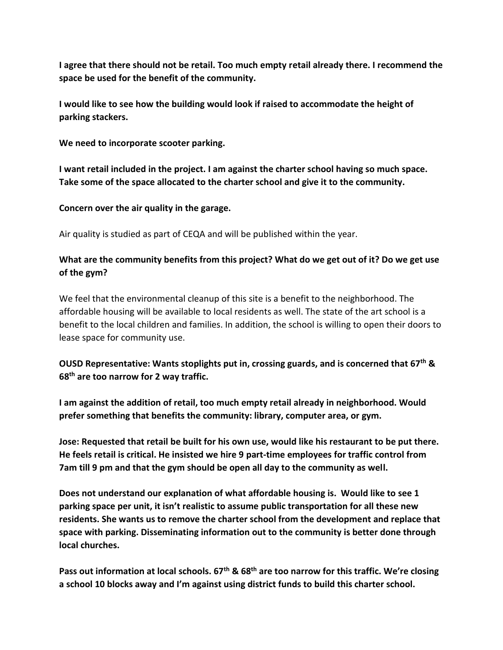**I agree that there should not be retail. Too much empty retail already there. I recommend the space be used for the benefit of the community.** 

**I would like to see how the building would look if raised to accommodate the height of parking stackers.**

**We need to incorporate scooter parking.**

**I want retail included in the project. I am against the charter school having so much space. Take some of the space allocated to the charter school and give it to the community.**

**Concern over the air quality in the garage.**

Air quality is studied as part of CEQA and will be published within the year.

# **What are the community benefits from this project? What do we get out of it? Do we get use of the gym?**

We feel that the environmental cleanup of this site is a benefit to the neighborhood. The affordable housing will be available to local residents as well. The state of the art school is a benefit to the local children and families. In addition, the school is willing to open their doors to lease space for community use.

## **OUSD Representative: Wants stoplights put in, crossing guards, and is concerned that 67th & 68th are too narrow for 2 way traffic.**

**I am against the addition of retail, too much empty retail already in neighborhood. Would prefer something that benefits the community: library, computer area, or gym.**

**Jose: Requested that retail be built for his own use, would like his restaurant to be put there. He feels retail is critical. He insisted we hire 9 part-time employees for traffic control from 7am till 9 pm and that the gym should be open all day to the community as well.**

**Does not understand our explanation of what affordable housing is. Would like to see 1 parking space per unit, it isn't realistic to assume public transportation for all these new residents. She wants us to remove the charter school from the development and replace that space with parking. Disseminating information out to the community is better done through local churches.**

**Pass out information at local schools. 67th & 68th are too narrow for this traffic. We're closing a school 10 blocks away and I'm against using district funds to build this charter school.**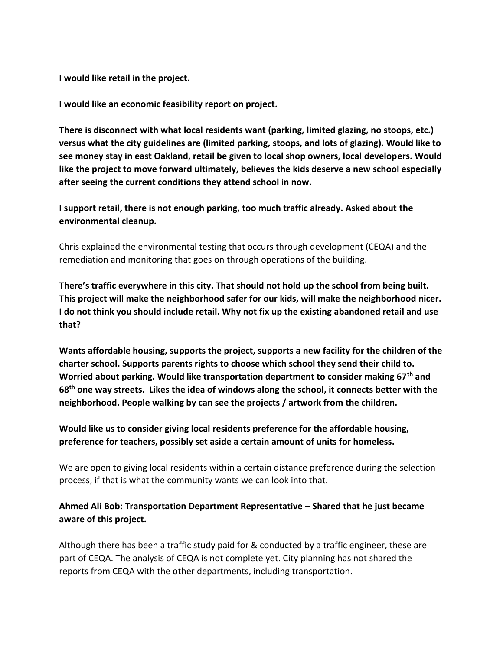**I would like retail in the project.**

**I would like an economic feasibility report on project.**

**There is disconnect with what local residents want (parking, limited glazing, no stoops, etc.) versus what the city guidelines are (limited parking, stoops, and lots of glazing). Would like to see money stay in east Oakland, retail be given to local shop owners, local developers. Would like the project to move forward ultimately, believes the kids deserve a new school especially after seeing the current conditions they attend school in now.** 

**I support retail, there is not enough parking, too much traffic already. Asked about the environmental cleanup.**

Chris explained the environmental testing that occurs through development (CEQA) and the remediation and monitoring that goes on through operations of the building.

**There's traffic everywhere in this city. That should not hold up the school from being built. This project will make the neighborhood safer for our kids, will make the neighborhood nicer. I do not think you should include retail. Why not fix up the existing abandoned retail and use that?**

**Wants affordable housing, supports the project, supports a new facility for the children of the charter school. Supports parents rights to choose which school they send their child to. Worried about parking. Would like transportation department to consider making 67th and 68th one way streets. Likes the idea of windows along the school, it connects better with the neighborhood. People walking by can see the projects / artwork from the children.**

**Would like us to consider giving local residents preference for the affordable housing, preference for teachers, possibly set aside a certain amount of units for homeless.**

We are open to giving local residents within a certain distance preference during the selection process, if that is what the community wants we can look into that.

## **Ahmed Ali Bob: Transportation Department Representative – Shared that he just became aware of this project.**

Although there has been a traffic study paid for & conducted by a traffic engineer, these are part of CEQA. The analysis of CEQA is not complete yet. City planning has not shared the reports from CEQA with the other departments, including transportation.